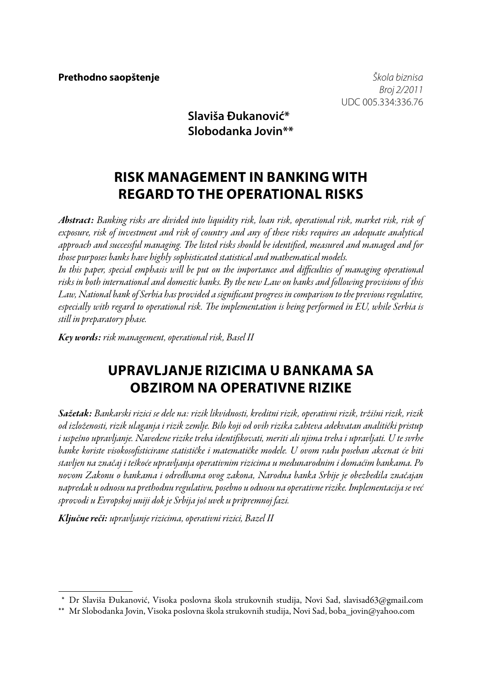*Broj 2/2011* UDC 005.334:336.76

## **Slaviša Đukanović\* Slobodanka Jovin\*\***

# **RISK MANAGEMENT IN BANKING WITH REGARD TO THE OPERATIONAL RISKS**

*Abstract: Banking risks are divided into liquidity risk, loan risk, operational risk, market risk, risk of exposure, risk of investment and risk of country and any of these risks requires an adequate analytical approach and successful managing. The listed risks should be identified, measured and managed and for those purposes banks have highly sophisticated statistical and mathematical models.*

In this paper, special emphasis will be put on the importance and difficulties of managing operational *risks in both international and domestic banks. By the new Law on banks and following provisions of this Law, National bank of Serbia has provided a significant progress in comparison to the previous regulative, especially with regard to operational risk. The implementation is being performed in EU, while Serbia is still in preparatory phase.* 

*Key words: risk management, operational risk, Basel II*

# **Upravljanje rizicima u bankama sa obzirom na operativne rizike**

*Sažetak: Bankarski rizici se dele na: rizik likvidnosti, kreditni rizik, operativni rizik, tržišni rizik, rizik od izloženosti, rizik ulaganja i rizik zemlje. Bilo koji od ovih rizika zahteva adekvatan analitički pristup i uspešno upravljanje. Navedene rizike treba identifikovati, meriti ali njima treba i upravljati. U te svrhe banke koriste visokosofisticirane statističke i matematičke modele. U ovom radu poseban akcenat će biti stavljen na značaj i teškoće upravljanja operativnim rizicima u međunarodnim i domaćim bankama. Po novom Zakonu o bankama i odredbama ovog zakona, Narodna banka Srbije je obezbedila značajan napredak u odnosu na prethodnu regulativu, posebno u odnosu na operativne rizike. Implementacija se već sprovodi u Evropskoj uniji dok je Srbija još uvek u pripremnoj fazi.*

*Ključne reči: upravljanje rizicima, operativni rizici, Bazel II*

 <sup>\*</sup> Dr Slaviša Đukanović, Visoka poslovna škola strukovnih studija, Novi Sad, slavisad63@gmail.com

<sup>\*\*</sup> Mr Slobodanka Jovin, Visoka poslovna škola strukovnih studija, Novi Sad, boba\_jovin@yahoo.com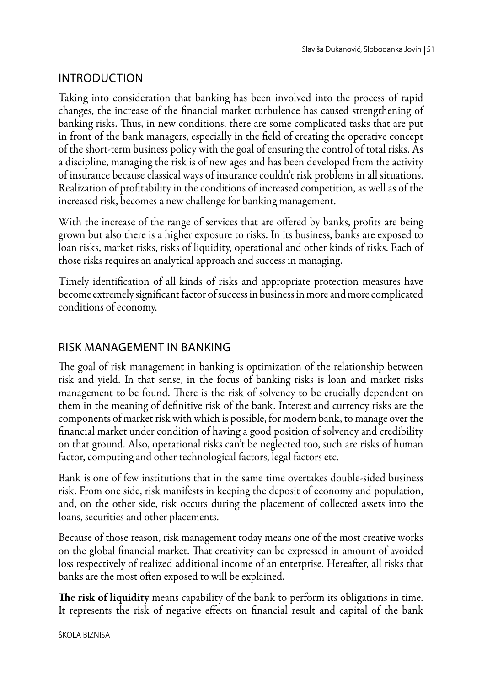### **INTRODUCTION**

Taking into consideration that banking has been involved into the process of rapid changes, the increase of the financial market turbulence has caused strengthening of banking risks. Thus, in new conditions, there are some complicated tasks that are put in front of the bank managers, especially in the field of creating the operative concept of the short-term business policy with the goal of ensuring the control of total risks. As a discipline, managing the risk is of new ages and has been developed from the activity of insurance because classical ways of insurance couldn't risk problems in all situations. Realization of profitability in the conditions of increased competition, as well as of the increased risk, becomes a new challenge for banking management.

With the increase of the range of services that are offered by banks, profits are being grown but also there is a higher exposure to risks. In its business, banks are exposed to loan risks, market risks, risks of liquidity, operational and other kinds of risks. Each of those risks requires an analytical approach and success in managing.

Timely identification of all kinds of risks and appropriate protection measures have become extremely significant factor of success in business in more and more complicated conditions of economy.

### Risk management in banking

The goal of risk management in banking is optimization of the relationship between risk and yield. In that sense, in the focus of banking risks is loan and market risks management to be found. There is the risk of solvency to be crucially dependent on them in the meaning of definitive risk of the bank. Interest and currency risks are the components of market risk with which is possible, for modern bank, to manage over the financial market under condition of having a good position of solvency and credibility on that ground. Also, operational risks can't be neglected too, such are risks of human factor, computing and other technological factors, legal factors etc.

Bank is one of few institutions that in the same time overtakes double-sided business risk. From one side, risk manifests in keeping the deposit of economy and population, and, on the other side, risk occurs during the placement of collected assets into the loans, securities and other placements.

Because of those reason, risk management today means one of the most creative works on the global financial market. That creativity can be expressed in amount of avoided loss respectively of realized additional income of an enterprise. Hereafter, all risks that banks are the most often exposed to will be explained.

The risk of liquidity means capability of the bank to perform its obligations in time. It represents the risk of negative effects on financial result and capital of the bank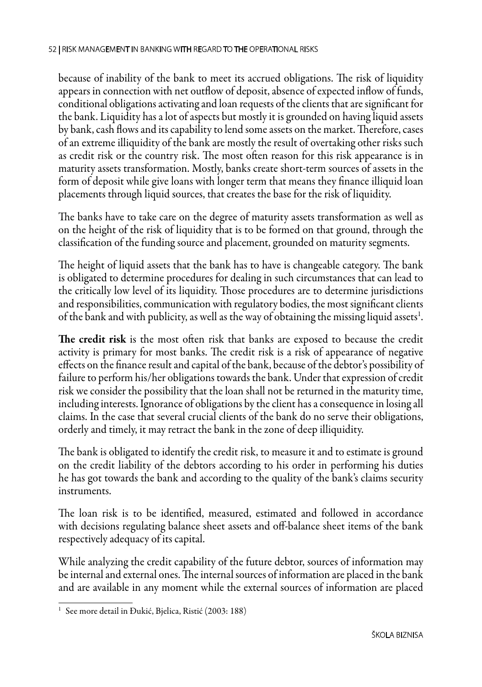because of inability of the bank to meet its accrued obligations. The risk of liquidity appears in connection with net outflow of deposit, absence of expected inflow of funds, conditional obligations activating and loan requests of the clients that are significant for the bank. Liquidity has a lot of aspects but mostly it is grounded on having liquid assets by bank, cash flows and its capability to lend some assets on the market. Therefore, cases of an extreme illiquidity of the bank are mostly the result of overtaking other risks such as credit risk or the country risk. The most often reason for this risk appearance is in maturity assets transformation. Mostly, banks create short-term sources of assets in the form of deposit while give loans with longer term that means they finance illiquid loan placements through liquid sources, that creates the base for the risk of liquidity.

The banks have to take care on the degree of maturity assets transformation as well as on the height of the risk of liquidity that is to be formed on that ground, through the classification of the funding source and placement, grounded on maturity segments.

The height of liquid assets that the bank has to have is changeable category. The bank is obligated to determine procedures for dealing in such circumstances that can lead to the critically low level of its liquidity. Those procedures are to determine jurisdictions and responsibilities, communication with regulatory bodies, the most significant clients of the bank and with publicity, as well as the way of obtaining the missing liquid assets $^{\rm l}$ .

The credit risk is the most often risk that banks are exposed to because the credit activity is primary for most banks. The credit risk is a risk of appearance of negative effects on the finance result and capital of the bank, because of the debtor's possibility of failure to perform his/her obligations towards the bank. Under that expression of credit risk we consider the possibility that the loan shall not be returned in the maturity time, including interests. Ignorance of obligations by the client has a consequence in losing all claims. In the case that several crucial clients of the bank do no serve their obligations, orderly and timely, it may retract the bank in the zone of deep illiquidity.

The bank is obligated to identify the credit risk, to measure it and to estimate is ground on the credit liability of the debtors according to his order in performing his duties he has got towards the bank and according to the quality of the bank's claims security instruments.

The loan risk is to be identified, measured, estimated and followed in accordance with decisions regulating balance sheet assets and off-balance sheet items of the bank respectively adequacy of its capital.

While analyzing the credit capability of the future debtor, sources of information may be internal and external ones. The internal sources of information are placed in the bank and are available in any moment while the external sources of information are placed

<sup>&</sup>lt;sup>1</sup> See more detail in Đukić, Bjelica, Ristić (2003: 188)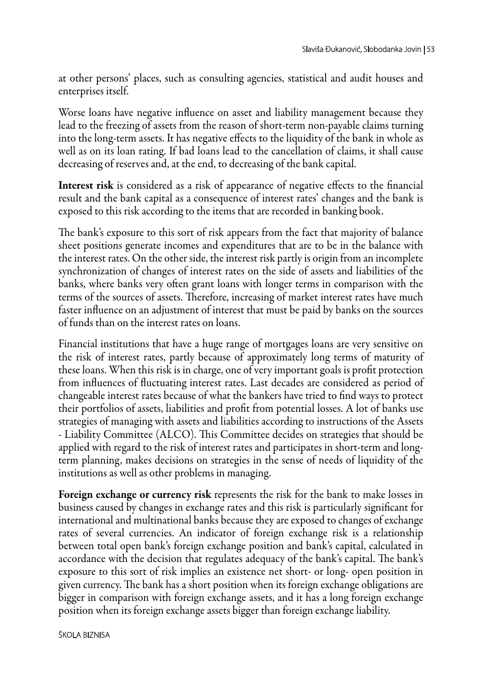at other persons' places, such as consulting agencies, statistical and audit houses and enterprises itself.

Worse loans have negative influence on asset and liability management because they lead to the freezing of assets from the reason of short-term non-payable claims turning into the long-term assets. It has negative effects to the liquidity of the bank in whole as well as on its loan rating. If bad loans lead to the cancellation of claims, it shall cause decreasing of reserves and, at the end, to decreasing of the bank capital.

Interest risk is considered as a risk of appearance of negative effects to the financial result and the bank capital as a consequence of interest rates' changes and the bank is exposed to this risk according to the items that are recorded in banking book.

The bank's exposure to this sort of risk appears from the fact that majority of balance sheet positions generate incomes and expenditures that are to be in the balance with the interest rates. On the other side, the interest risk partly is origin from an incomplete synchronization of changes of interest rates on the side of assets and liabilities of the banks, where banks very often grant loans with longer terms in comparison with the terms of the sources of assets. Therefore, increasing of market interest rates have much faster influence on an adjustment of interest that must be paid by banks on the sources of funds than on the interest rates on loans.

Financial institutions that have a huge range of mortgages loans are very sensitive on the risk of interest rates, partly because of approximately long terms of maturity of these loans. When this risk is in charge, one of very important goals is profit protection from influences of fluctuating interest rates. Last decades are considered as period of changeable interest rates because of what the bankers have tried to find ways to protect their portfolios of assets, liabilities and profit from potential losses. A lot of banks use strategies of managing with assets and liabilities according to instructions of the Assets - Liability Committee (ALCO). This Committee decides on strategies that should be applied with regard to the risk of interest rates and participates in short-term and longterm planning, makes decisions on strategies in the sense of needs of liquidity of the institutions as well as other problems in managing.

Foreign exchange or currency risk represents the risk for the bank to make losses in business caused by changes in exchange rates and this risk is particularly significant for international and multinational banks because they are exposed to changes of exchange rates of several currencies. An indicator of foreign exchange risk is a relationship between total open bank's foreign exchange position and bank's capital, calculated in accordance with the decision that regulates adequacy of the bank's capital. The bank's exposure to this sort of risk implies an existence net short- or long- open position in given currency. The bank has a short position when its foreign exchange obligations are bigger in comparison with foreign exchange assets, and it has a long foreign exchange position when its foreign exchange assets bigger than foreign exchange liability.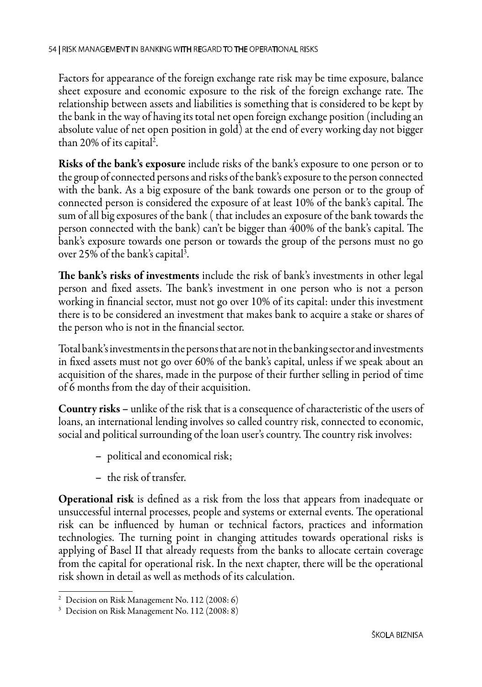Factors for appearance of the foreign exchange rate risk may be time exposure, balance sheet exposure and economic exposure to the risk of the foreign exchange rate. The relationship between assets and liabilities is something that is considered to be kept by the bank in the way of having its total net open foreign exchange position (including an absolute value of net open position in gold) at the end of every working day not bigger than 20% of its capital<sup>2</sup>.

Risks of the bank's exposure include risks of the bank's exposure to one person or to the group of connected persons and risks of the bank's exposure to the person connected with the bank. As a big exposure of the bank towards one person or to the group of connected person is considered the exposure of at least 10% of the bank's capital. The sum of all big exposures of the bank ( that includes an exposure of the bank towards the person connected with the bank) can't be bigger than 400% of the bank's capital. The bank's exposure towards one person or towards the group of the persons must no go over 25% of the bank's capital<sup>3</sup>.

The bank's risks of investments include the risk of bank's investments in other legal person and fixed assets. The bank's investment in one person who is not a person working in financial sector, must not go over 10% of its capital: under this investment there is to be considered an investment that makes bank to acquire a stake or shares of the person who is not in the financial sector.

Total bank's investments in the persons that are not in the banking sector and investments in fixed assets must not go over 60% of the bank's capital, unless if we speak about an acquisition of the shares, made in the purpose of their further selling in period of time of 6 months from the day of their acquisition.

Country risks – unlike of the risk that is a consequence of characteristic of the users of loans, an international lending involves so called country risk, connected to economic, social and political surrounding of the loan user's country. The country risk involves:

- political and economical risk;
- the risk of transfer.

Operational risk is defined as a risk from the loss that appears from inadequate or unsuccessful internal processes, people and systems or external events. The operational risk can be influenced by human or technical factors, practices and information technologies. The turning point in changing attitudes towards operational risks is applying of Basel II that already requests from the banks to allocate certain coverage from the capital for operational risk. In the next chapter, there will be the operational risk shown in detail as well as methods of its calculation.

<sup>2</sup> Decision on Risk Management No. 112 (2008: 6)

<sup>3</sup> Decision on Risk Management No. 112 (2008: 8)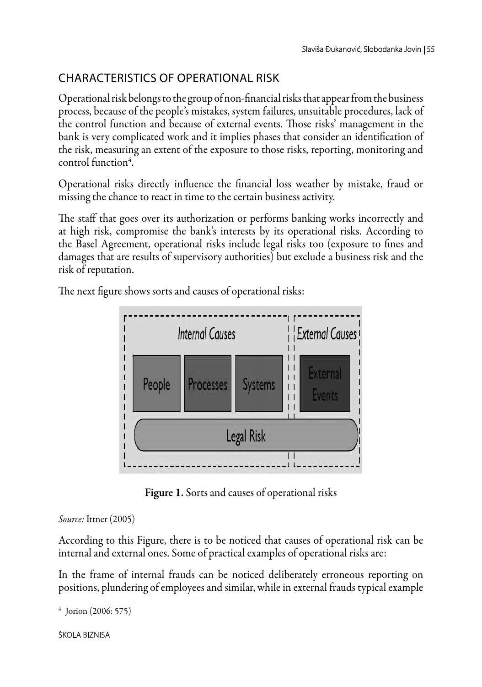# Characteristics of operational risk

Operational risk belongs to the group of non-financial risks that appear from the business process, because of the people's mistakes, system failures, unsuitable procedures, lack of the control function and because of external events. Those risks' management in the bank is very complicated work and it implies phases that consider an identification of the risk, measuring an extent of the exposure to those risks, reporting, monitoring and control function<sup>4</sup>.

Operational risks directly influence the financial loss weather by mistake, fraud or missing the chance to react in time to the certain business activity.

The staff that goes over its authorization or performs banking works incorrectly and at high risk, compromise the bank's interests by its operational risks. According to the Basel Agreement, operational risks include legal risks too (exposure to fines and damages that are results of supervisory authorities) but exclude a business risk and the risk of reputation.

The next figure shows sorts and causes of operational risks:



Figure 1. Sorts and causes of operational risks

*Source:* Ittner (2005)

According to this Figure, there is to be noticed that causes of operational risk can be internal and external ones. Some of practical examples of operational risks are:

In the frame of internal frauds can be noticed deliberately erroneous reporting on positions, plundering of employees and similar, while in external frauds typical example

<sup>4</sup> Jorion (2006: 575)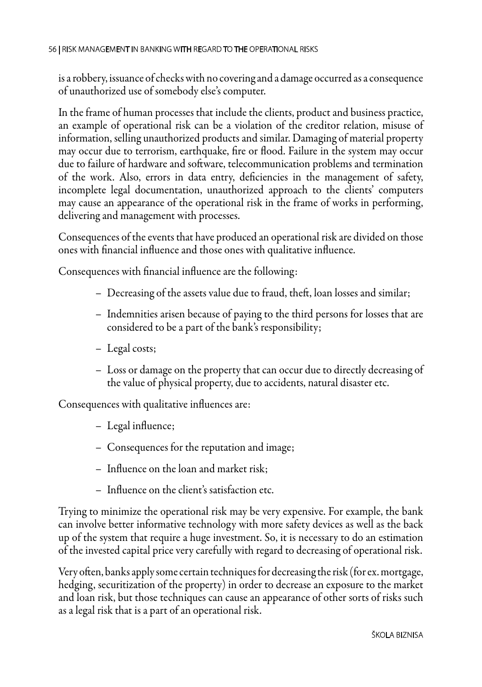is a robbery, issuance of checks with no covering and a damage occurred as a consequence of unauthorized use of somebody else's computer.

In the frame of human processes that include the clients, product and business practice, an example of operational risk can be a violation of the creditor relation, misuse of information, selling unauthorized products and similar. Damaging of material property may occur due to terrorism, earthquake, fire or flood. Failure in the system may occur due to failure of hardware and software, telecommunication problems and termination of the work. Also, errors in data entry, deficiencies in the management of safety, incomplete legal documentation, unauthorized approach to the clients' computers may cause an appearance of the operational risk in the frame of works in performing, delivering and management with processes.

Consequences of the events that have produced an operational risk are divided on those ones with financial influence and those ones with qualitative influence.

Consequences with financial influence are the following:

- Decreasing of the assets value due to fraud, theft, loan losses and similar;
- Indemnities arisen because of paying to the third persons for losses that are considered to be a part of the bank's responsibility;
- Legal costs;
- Loss or damage on the property that can occur due to directly decreasing of the value of physical property, due to accidents, natural disaster etc.

Consequences with qualitative influences are:

- Legal influence;
- Consequences for the reputation and image;
- Influence on the loan and market risk;
- Influence on the client's satisfaction etc.

Trying to minimize the operational risk may be very expensive. For example, the bank can involve better informative technology with more safety devices as well as the back up of the system that require a huge investment. So, it is necessary to do an estimation of the invested capital price very carefully with regard to decreasing of operational risk.

Very often, banks apply some certain techniques for decreasing the risk (for ex. mortgage, hedging, securitization of the property) in order to decrease an exposure to the market and loan risk, but those techniques can cause an appearance of other sorts of risks such as a legal risk that is a part of an operational risk.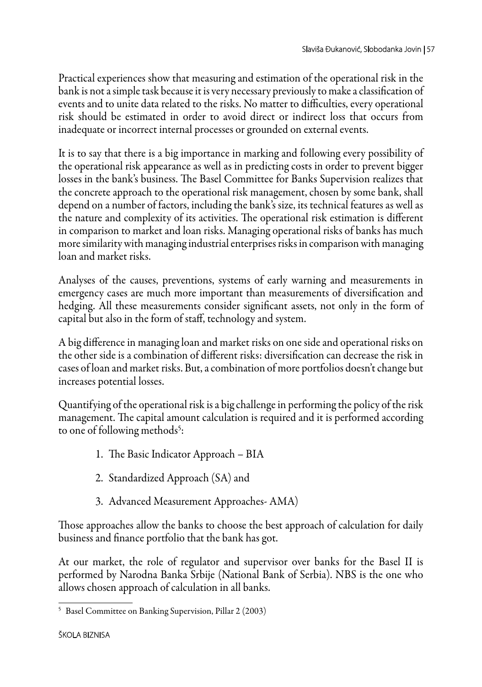Practical experiences show that measuring and estimation of the operational risk in the bank is not a simple task because it is very necessary previously to make a classification of events and to unite data related to the risks. No matter to difficulties, every operational risk should be estimated in order to avoid direct or indirect loss that occurs from inadequate or incorrect internal processes or grounded on external events.

It is to say that there is a big importance in marking and following every possibility of the operational risk appearance as well as in predicting costs in order to prevent bigger losses in the bank's business. The Basel Committee for Banks Supervision realizes that the concrete approach to the operational risk management, chosen by some bank, shall depend on a number of factors, including the bank's size, its technical features as well as the nature and complexity of its activities. The operational risk estimation is different in comparison to market and loan risks. Managing operational risks of banks has much more similarity with managing industrial enterprises risks in comparison with managing loan and market risks.

Analyses of the causes, preventions, systems of early warning and measurements in emergency cases are much more important than measurements of diversification and hedging. All these measurements consider significant assets, not only in the form of capital but also in the form of staff, technology and system.

A big difference in managing loan and market risks on one side and operational risks on the other side is a combination of different risks: diversification can decrease the risk in cases of loan and market risks. But, a combination of more portfolios doesn't change but increases potential losses.

Quantifying of the operational risk is a big challenge in performing the policy of the risk management. The capital amount calculation is required and it is performed according to one of following methods<sup>5</sup>:

- 1. The Basic Indicator Approach BIA
- 2. Standardized Approach (SA) and
- 3. Advanced Measurement Approaches- AMA)

Those approaches allow the banks to choose the best approach of calculation for daily business and finance portfolio that the bank has got.

At our market, the role of regulator and supervisor over banks for the Basel II is performed by Narodna Banka Srbije (National Bank of Serbia). NBS is the one who allows chosen approach of calculation in all banks.

<sup>5</sup> Basel Committee on Banking Supervision, Pillar 2 (2003)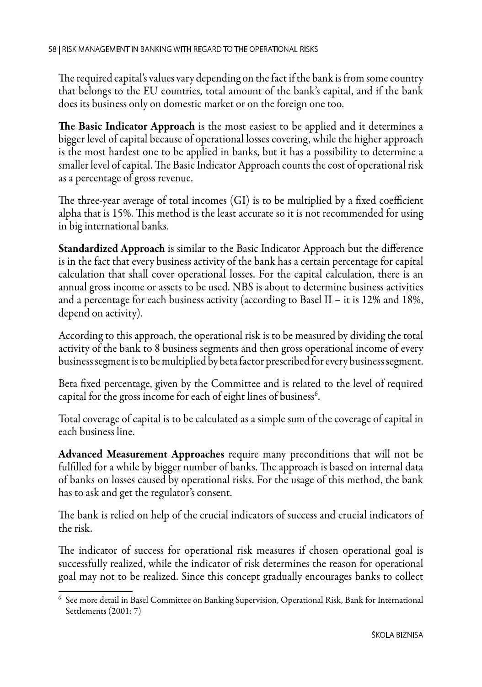The required capital's values vary depending on the fact if the bank is from some country that belongs to the EU countries, total amount of the bank's capital, and if the bank does its business only on domestic market or on the foreign one too.

The Basic Indicator Approach is the most easiest to be applied and it determines a bigger level of capital because of operational losses covering, while the higher approach is the most hardest one to be applied in banks, but it has a possibility to determine a smaller level of capital. The Basic Indicator Approach counts the cost of operational risk as a percentage of gross revenue.

The three-year average of total incomes (GI) is to be multiplied by a fixed coefficient alpha that is 15%. This method is the least accurate so it is not recommended for using in big international banks.

Standardized Approach is similar to the Basic Indicator Approach but the difference is in the fact that every business activity of the bank has a certain percentage for capital calculation that shall cover operational losses. For the capital calculation, there is an annual gross income or assets to be used. NBS is about to determine business activities and a percentage for each business activity (according to Basel II – it is 12% and 18%, depend on activity).

According to this approach, the operational risk is to be measured by dividing the total activity of the bank to 8 business segments and then gross operational income of every business segment is to be multiplied by beta factor prescribed for every business segment.

Beta fixed percentage, given by the Committee and is related to the level of required capital for the gross income for each of eight lines of business $\rm ^6$ .

Total coverage of capital is to be calculated as a simple sum of the coverage of capital in each business line.

Advanced Measurement Approaches require many preconditions that will not be fulfilled for a while by bigger number of banks. The approach is based on internal data of banks on losses caused by operational risks. For the usage of this method, the bank has to ask and get the regulator's consent.

The bank is relied on help of the crucial indicators of success and crucial indicators of the risk.

The indicator of success for operational risk measures if chosen operational goal is successfully realized, while the indicator of risk determines the reason for operational goal may not to be realized. Since this concept gradually encourages banks to collect

<sup>6</sup> See more detail in Basel Committee on Banking Supervision, Operational Risk, Bank for International Settlements (2001: 7)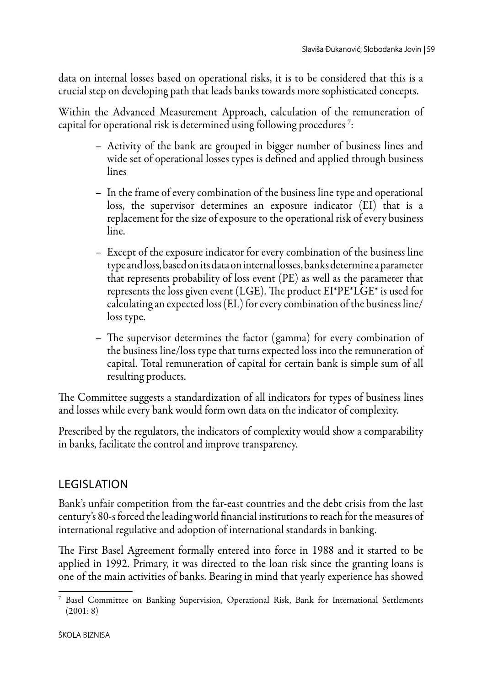data on internal losses based on operational risks, it is to be considered that this is a crucial step on developing path that leads banks towards more sophisticated concepts.

Within the Advanced Measurement Approach, calculation of the remuneration of capital for operational risk is determined using following procedures  $^7\! :$ 

- Activity of the bank are grouped in bigger number of business lines and wide set of operational losses types is defined and applied through business lines
- In the frame of every combination of the business line type and operational loss, the supervisor determines an exposure indicator (EI) that is a replacement for the size of exposure to the operational risk of every business line.
- Except of the exposure indicator for every combination of the business line type and loss, based on its data on internal losses, banks determine a parameter that represents probability of loss event (PE) as well as the parameter that represents the loss given event (LGE). The product EI\*PE\*LGE\* is used for calculating an expected loss (EL) for every combination of the business line/ loss type.
- The supervisor determines the factor (gamma) for every combination of the business line/loss type that turns expected loss into the remuneration of capital. Total remuneration of capital for certain bank is simple sum of all resulting products.

The Committee suggests a standardization of all indicators for types of business lines and losses while every bank would form own data on the indicator of complexity.

Prescribed by the regulators, the indicators of complexity would show a comparability in banks, facilitate the control and improve transparency.

## **LEGISLATION**

Bank's unfair competition from the far-east countries and the debt crisis from the last century's 80-s forced the leading world financial institutions to reach for the measures of international regulative and adoption of international standards in banking.

The First Basel Agreement formally entered into force in 1988 and it started to be applied in 1992. Primary, it was directed to the loan risk since the granting loans is one of the main activities of banks. Bearing in mind that yearly experience has showed

<sup>7</sup> Basel Committee on Banking Supervision, Operational Risk, Bank for International Settlements (2001: 8)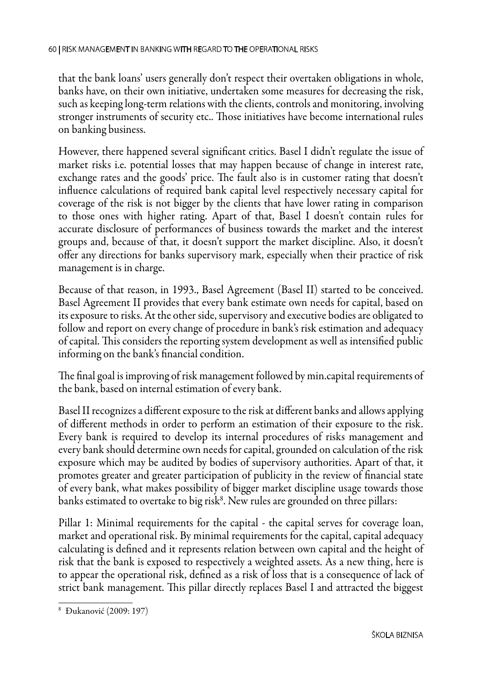that the bank loans' users generally don't respect their overtaken obligations in whole, banks have, on their own initiative, undertaken some measures for decreasing the risk, such as keeping long-term relations with the clients, controls and monitoring, involving stronger instruments of security etc.. Those initiatives have become international rules on banking business.

However, there happened several significant critics. Basel I didn't regulate the issue of market risks i.e. potential losses that may happen because of change in interest rate, exchange rates and the goods' price. The fault also is in customer rating that doesn't influence calculations of required bank capital level respectively necessary capital for coverage of the risk is not bigger by the clients that have lower rating in comparison to those ones with higher rating. Apart of that, Basel I doesn't contain rules for accurate disclosure of performances of business towards the market and the interest groups and, because of that, it doesn't support the market discipline. Also, it doesn't offer any directions for banks supervisory mark, especially when their practice of risk management is in charge.

Because of that reason, in 1993., Basel Agreement (Basel II) started to be conceived. Basel Agreement II provides that every bank estimate own needs for capital, based on its exposure to risks. At the other side, supervisory and executive bodies are obligated to follow and report on every change of procedure in bank's risk estimation and adequacy of capital. This considers the reporting system development as well as intensified public informing on the bank's financial condition.

The final goal is improving of risk management followed by min.capital requirements of the bank, based on internal estimation of every bank.

Basel II recognizes a different exposure to the risk at different banks and allows applying of different methods in order to perform an estimation of their exposure to the risk. Every bank is required to develop its internal procedures of risks management and every bank should determine own needs for capital, grounded on calculation of the risk exposure which may be audited by bodies of supervisory authorities. Apart of that, it promotes greater and greater participation of publicity in the review of financial state of every bank, what makes possibility of bigger market discipline usage towards those banks estimated to overtake to big risk $^8$ . New rules are grounded on three pillars:

Pillar 1: Minimal requirements for the capital - the capital serves for coverage loan, market and operational risk. By minimal requirements for the capital, capital adequacy calculating is defined and it represents relation between own capital and the height of risk that the bank is exposed to respectively a weighted assets. As a new thing, here is to appear the operational risk, defined as a risk of loss that is a consequence of lack of strict bank management. This pillar directly replaces Basel I and attracted the biggest

<sup>8</sup> Đukanović (2009: 197)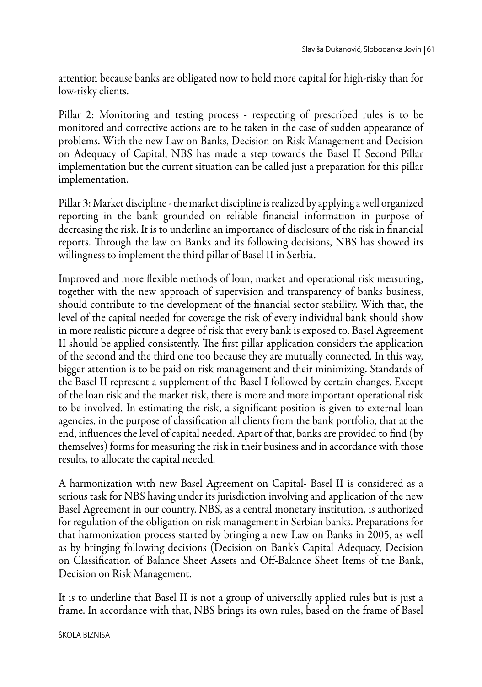attention because banks are obligated now to hold more capital for high-risky than for low-risky clients.

Pillar 2: Monitoring and testing process - respecting of prescribed rules is to be monitored and corrective actions are to be taken in the case of sudden appearance of problems. With the new Law on Banks, Decision on Risk Management and Decision on Adequacy of Capital, NBS has made a step towards the Basel II Second Pillar implementation but the current situation can be called just a preparation for this pillar implementation.

Pillar 3: Market discipline - the market discipline is realized by applying a well organized reporting in the bank grounded on reliable financial information in purpose of decreasing the risk. It is to underline an importance of disclosure of the risk in financial reports. Through the law on Banks and its following decisions, NBS has showed its willingness to implement the third pillar of Basel II in Serbia.

Improved and more flexible methods of loan, market and operational risk measuring, together with the new approach of supervision and transparency of banks business, should contribute to the development of the financial sector stability. With that, the level of the capital needed for coverage the risk of every individual bank should show in more realistic picture a degree of risk that every bank is exposed to. Basel Agreement II should be applied consistently. The first pillar application considers the application of the second and the third one too because they are mutually connected. In this way, bigger attention is to be paid on risk management and their minimizing. Standards of the Basel II represent a supplement of the Basel I followed by certain changes. Except of the loan risk and the market risk, there is more and more important operational risk to be involved. In estimating the risk, a significant position is given to external loan agencies, in the purpose of classification all clients from the bank portfolio, that at the end, influences the level of capital needed. Apart of that, banks are provided to find (by themselves) forms for measuring the risk in their business and in accordance with those results, to allocate the capital needed.

A harmonization with new Basel Agreement on Capital- Basel II is considered as a serious task for NBS having under its jurisdiction involving and application of the new Basel Agreement in our country. NBS, as a central monetary institution, is authorized for regulation of the obligation on risk management in Serbian banks. Preparations for that harmonization process started by bringing a new Law on Banks in 2005, as well as by bringing following decisions (Decision on Bank's Capital Adequacy, Decision on Classification of Balance Sheet Assets and Off-Balance Sheet Items of the Bank, Decision on Risk Management.

It is to underline that Basel II is not a group of universally applied rules but is just a frame. In accordance with that, NBS brings its own rules, based on the frame of Basel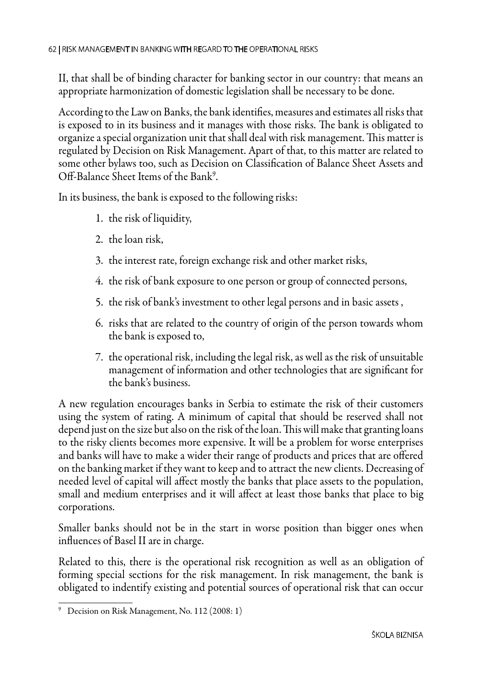II, that shall be of binding character for banking sector in our country: that means an appropriate harmonization of domestic legislation shall be necessary to be done.

According to the Law on Banks, the bank identifies, measures and estimates all risks that is exposed to in its business and it manages with those risks. The bank is obligated to organize a special organization unit that shall deal with risk management. This matter is regulated by Decision on Risk Management. Apart of that, to this matter are related to some other bylaws too, such as Decision on Classification of Balance Sheet Assets and Off-Balance Sheet Items of the Bank<sup>9</sup>.

In its business, the bank is exposed to the following risks:

- 1. the risk of liquidity,
- 2. the loan risk,
- 3. the interest rate, foreign exchange risk and other market risks,
- 4. the risk of bank exposure to one person or group of connected persons,
- 5. the risk of bank's investment to other legal persons and in basic assets ,
- 6. risks that are related to the country of origin of the person towards whom the bank is exposed to,
- 7. the operational risk, including the legal risk, as well as the risk of unsuitable management of information and other technologies that are significant for the bank's business.

A new regulation encourages banks in Serbia to estimate the risk of their customers using the system of rating. A minimum of capital that should be reserved shall not depend just on the size but also on the risk of the loan. This will make that granting loans to the risky clients becomes more expensive. It will be a problem for worse enterprises and banks will have to make a wider their range of products and prices that are offered on the banking market if they want to keep and to attract the new clients. Decreasing of needed level of capital will affect mostly the banks that place assets to the population, small and medium enterprises and it will affect at least those banks that place to big corporations.

Smaller banks should not be in the start in worse position than bigger ones when influences of Basel II are in charge.

Related to this, there is the operational risk recognition as well as an obligation of forming special sections for the risk management. In risk management, the bank is obligated to indentify existing and potential sources of operational risk that can occur

<sup>9</sup> Decision on Risk Management, No. 112 (2008: 1)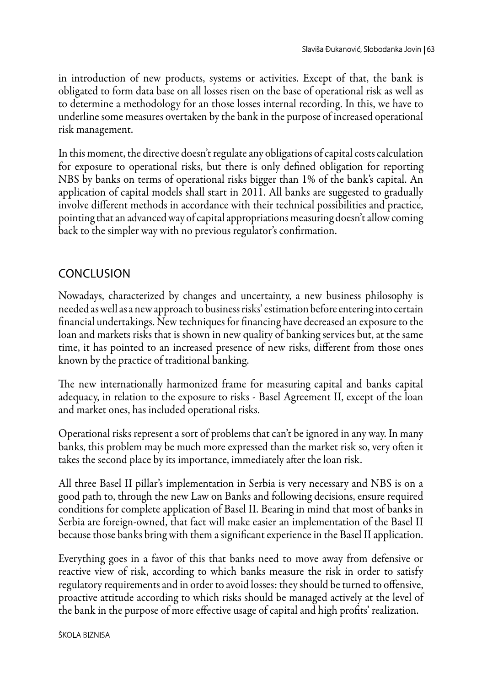in introduction of new products, systems or activities. Except of that, the bank is obligated to form data base on all losses risen on the base of operational risk as well as to determine a methodology for an those losses internal recording. In this, we have to underline some measures overtaken by the bank in the purpose of increased operational risk management.

In this moment, the directive doesn't regulate any obligations of capital costs calculation for exposure to operational risks, but there is only defined obligation for reporting NBS by banks on terms of operational risks bigger than 1% of the bank's capital. An application of capital models shall start in 2011. All banks are suggested to gradually involve different methods in accordance with their technical possibilities and practice, pointing that an advanced way of capital appropriations measuring doesn't allow coming back to the simpler way with no previous regulator's confirmation.

### **CONCLUSION**

Nowadays, characterized by changes and uncertainty, a new business philosophy is needed as well as a new approach to business risks' estimation before entering into certain financial undertakings. New techniques for financing have decreased an exposure to the loan and markets risks that is shown in new quality of banking services but, at the same time, it has pointed to an increased presence of new risks, different from those ones known by the practice of traditional banking.

The new internationally harmonized frame for measuring capital and banks capital adequacy, in relation to the exposure to risks - Basel Agreement II, except of the loan and market ones, has included operational risks.

Operational risks represent a sort of problems that can't be ignored in any way. In many banks, this problem may be much more expressed than the market risk so, very often it takes the second place by its importance, immediately after the loan risk.

All three Basel II pillar's implementation in Serbia is very necessary and NBS is on a good path to, through the new Law on Banks and following decisions, ensure required conditions for complete application of Basel II. Bearing in mind that most of banks in Serbia are foreign-owned, that fact will make easier an implementation of the Basel II because those banks bring with them a significant experience in the Basel II application.

Everything goes in a favor of this that banks need to move away from defensive or reactive view of risk, according to which banks measure the risk in order to satisfy regulatory requirements and in order to avoid losses: they should be turned to offensive, proactive attitude according to which risks should be managed actively at the level of the bank in the purpose of more effective usage of capital and high profits' realization.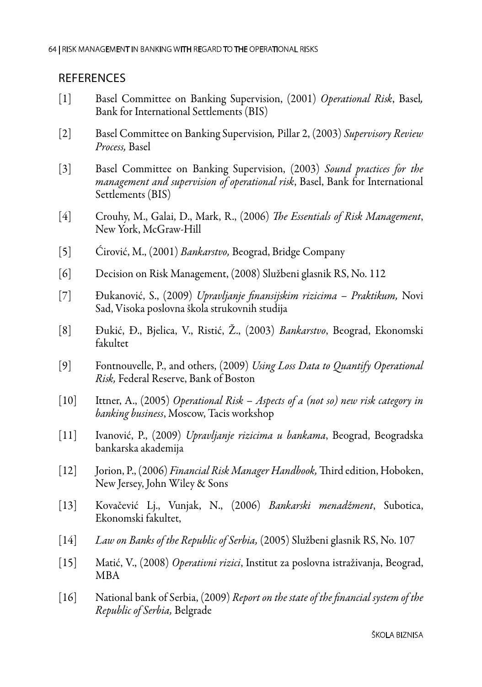#### **REFERENCES**

- [1] Basel Committee on Banking Supervision, (2001) *Operational Risk*, Basel*,* Bank for International Settlements (BIS)
- [2] Basel Committee on Banking Supervision*,* Pillar 2, (2003) *Supervisory Review Process,* Basel
- [3] Basel Committee on Banking Supervision, (2003) *Sound practices for the management and supervision of operational risk*, Basel, Bank for International Settlements (BIS)
- [4] Crouhy, M., Galai, D., Mark, R., (2006) *The Еssentials of Risk Management*, New York, McGraw-Hill
- [5] Ćirović, M., (2001) *Bankarstvo,* Beograd, Bridge Company
- [6] Decision on Risk Management, (2008) Službeni glasnik RS, No. 112
- [7] Đukanović, S., (2009) *Upravljanje finansijskim rizicima Praktikum,* Novi Sad, Visoka poslovna škola strukovnih studija
- [8] Đukić, Đ., Bjelica, V., Ristić, Ž., (2003) *Bankarstvo*, Beograd, Ekonomski fakultet
- [9] Fontnouvelle, P., and others, (2009) *Using Loss Data to Quantify Operational Risk,* Federal Reserve, Bank of Boston
- [10] Ittner, A., (2005) *Operational Risk Aspects of a (not so) new risk category in banking business*, Moscow, Tacis workshop
- [11] Ivanović, P., (2009) *Upravljanje rizicima u bankama*, Beograd, Beogradska bankarska akademija
- [12] Jorion, P., (2006) *Financial Risk Manager Handbook,* Third edition, Hoboken, New Jersey, John Wiley & Sons
- [13] Kovačević Lj., Vunjak, N., (2006) *Bankarski menadžment*, Subotica, Ekonomski fakultet,
- [14] *Law on Banks of the Republic of Serbia,* (2005) Službeni glasnik RS, No. 107
- [15] Matić, V., (2008) *Operativni rizici*, Institut za poslovna istraživanja, Beograd, MBA
- [16] National bank of Serbia, (2009) *Report on the state of the financial system of the Republic of Serbia,* Belgrade